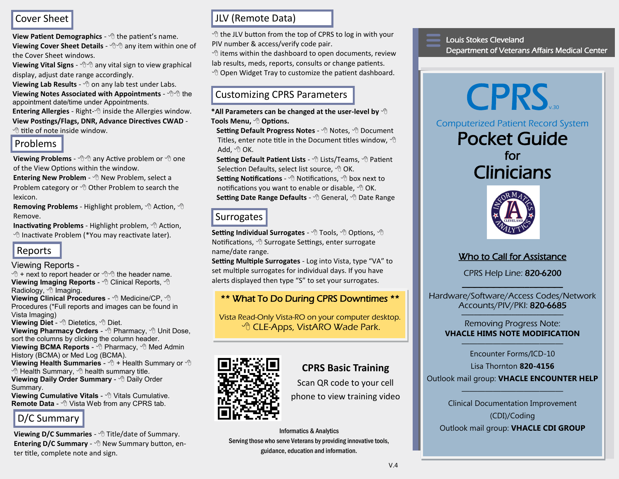## Cover Sheet

**View Patient Demographics** -  $\Theta$  the patient's name.

**Viewing Cover Sheet Details** -  $\sqrt{\theta}$  any item within one of the Cover Sheet windows.

**Viewing Vital Signs** -  $\oplus$   $\oplus$  any vital sign to view graphical display, adjust date range accordingly.

**Viewing Lab Results** - <sup> $\theta$ </sup> on any lab test under Labs.

**Viewing Notes Associated with Appointments** -  $\oplus$  the appointment date/time under Appointments.

**Entering Allergies** - Right-<sup> $\theta$ </sup> inside the Allergies window. **View Postings/Flags, DNR, Advance Directives CWAD** -  $\Theta$  title of note inside window.

## Problems

**Viewing Problems** -  $\forall \theta \in \theta$  any Active problem or  $\forall \theta$  one of the View Options within the window.

**Entering New Problem** -  $\Theta$  New Problem, select a Problem category or  $\Theta$  Other Problem to search the lexicon.

Removing Problems - Highlight problem,  $\oplus$  Action,  $\oplus$ Remove.

Inactivating Problems - Highlight problem,  $\Theta$  Action, <sup><sup>®</sup> Inactivate Problem (\*You may reactivate later).</sup>

# Reports

#### Viewing Reports -

 $\Diamond$  + next to report header or  $\Diamond$  the header name. **Viewing Imaging Reports -**  $\Theta$  **Clinical Reports,**  $\Theta$ Radiology, <sup>n</sup> Imaging.

**Viewing Clinical Procedures -**  $\Theta$  **Medicine/CP,**  $\Theta$ Procedures (\*Full reports and images can be found in Vista Imaging)

**Viewing Diet - <sup>®</sup> Dietetics. <sup>®</sup> Diet.** 

**Viewing Pharmacy Orders -**  $\oplus$  **Pharmacy,**  $\oplus$  **Unit Dose,** sort the columns by clicking the column header. **Viewing BCMA Reports -**  $\Theta$  **Pharmacy,**  $\Theta$  **Med Admin** History (BCMA) or Med Log (BCMA).

**Viewing Health Summaries -**  $\oplus$  **+ Health Summary or**  $\oplus$  $\Theta$  Health Summary,  $\Theta$  health summary title. **Viewing Daily Order Summary - <sup>1</sup> Daily Order** Summary.

**Viewing Cumulative Vitals -** *A* Vitals Cumulative. Remote Data - <sup>
<sup>
+</sup>  $\theta$  Vista Web from any CPRS tab.</sup>

# D/C Summary

**Viewing D/C Summaries** -  $\Theta$  Title/date of Summary. **Entering D/C Summary** - <sup> $\theta$ </sup> New Summary button, enter title, complete note and sign.

# JLV (Remote Data)

 $\Diamond$  the JLV button from the top of CPRS to log in with your PIV number & access/verify code pair.

 $\Diamond$  items within the dashboard to open documents, review lab results, meds, reports, consults or change patients.  $\Theta$  Open Widget Tray to customize the patient dashboard.

# Customizing CPRS Parameters

**\*All Parameters can be changed at the user-level by Tools Menu, Options.**

 **Setting Default Progress Notes** - Notes, Document Titles, enter note title in the Document titles window,  $\Theta$ Add,  $\oplus$  OK.

 **Setting Default Patient Lists** - Lists/Teams, Patient Selection Defaults, select list source,  $\Diamond$  OK.

**Setting Notifications** -  $\Theta$  Notifications,  $\Theta$  box next to notifications you want to enable or disable,  $\Diamond$  OK.  **Setting Date Range Defaults** - General, Date Range

# **Surrogates**

**Setting Individual Surrogates** -  $\oplus$  Tools,  $\oplus$  Options,  $\oplus$ Notifications, Surrogate Settings, enter surrogate name/date range.

**Setting Multiple Surrogates** - Log into Vista, type "VA" to set multiple surrogates for individual days. If you have alerts displayed then type "S" to set your surrogates.

# \*\* What To Do During CPRS Downtimes \*\*

Vista Read-Only Vista-RO on your computer desktop. <sup>•</sup> CLE-Apps, VistARO Wade Park.



## **CPRS Basic Training**

Scan QR code to your cell

phone to view training video

Informatics & Analytics Serving those who serve Veterans by providing innovative tools, guidance, education and information.

#### Louis Stokes Cleveland Department of Veterans Affairs Medical Center

CPRS<sub>v30</sub> Computerized Patient Record System Pocket Guide

for **Clinicians** 



## Who to Call for Assistance

CPRS Help Line: 820-6200

——————————–—————- Hardware/Software/Access Codes/Network Accounts/PIV/PKI: 820-6685

#### ————————————————- Removing Progress Note: **VHACLE HIMS NOTE MODIFICATION**

————————————— Encounter Forms/ICD-10

Lisa Thornton **820-4156**

Outlook mail group: **VHACLE ENCOUNTER HELP** —————————————

> Clinical Documentation Improvement (CDI)/Coding

Outlook mail group: **VHACLE CDI GROUP**